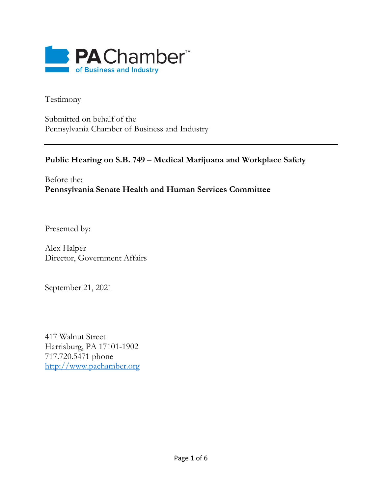

Testimony

Submitted on behalf of the Pennsylvania Chamber of Business and Industry

## **Public Hearing on S.B. 749 – Medical Marijuana and Workplace Safety**

Before the: **Pennsylvania Senate Health and Human Services Committee**

Presented by:

Alex Halper Director, Government Affairs

September 21, 2021

417 Walnut Street Harrisburg, PA 17101-1902 717.720.5471 phone [http://www.pachamber.org](http://www.pachamber.org/)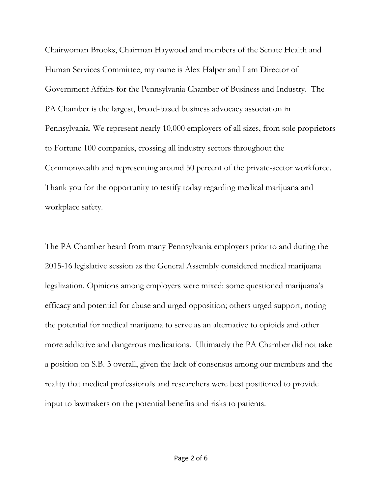Chairwoman Brooks, Chairman Haywood and members of the Senate Health and Human Services Committee, my name is Alex Halper and I am Director of Government Affairs for the Pennsylvania Chamber of Business and Industry. The PA Chamber is the largest, broad-based business advocacy association in Pennsylvania. We represent nearly 10,000 employers of all sizes, from sole proprietors to Fortune 100 companies, crossing all industry sectors throughout the Commonwealth and representing around 50 percent of the private-sector workforce. Thank you for the opportunity to testify today regarding medical marijuana and workplace safety.

The PA Chamber heard from many Pennsylvania employers prior to and during the 2015-16 legislative session as the General Assembly considered medical marijuana legalization. Opinions among employers were mixed: some questioned marijuana's efficacy and potential for abuse and urged opposition; others urged support, noting the potential for medical marijuana to serve as an alternative to opioids and other more addictive and dangerous medications. Ultimately the PA Chamber did not take a position on S.B. 3 overall, given the lack of consensus among our members and the reality that medical professionals and researchers were best positioned to provide input to lawmakers on the potential benefits and risks to patients.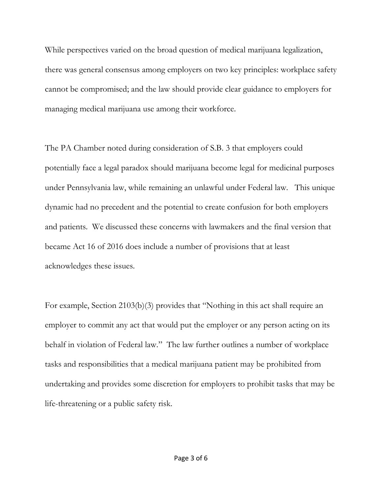While perspectives varied on the broad question of medical marijuana legalization, there was general consensus among employers on two key principles: workplace safety cannot be compromised; and the law should provide clear guidance to employers for managing medical marijuana use among their workforce.

The PA Chamber noted during consideration of S.B. 3 that employers could potentially face a legal paradox should marijuana become legal for medicinal purposes under Pennsylvania law, while remaining an unlawful under Federal law. This unique dynamic had no precedent and the potential to create confusion for both employers and patients. We discussed these concerns with lawmakers and the final version that became Act 16 of 2016 does include a number of provisions that at least acknowledges these issues.

For example, Section 2103(b)(3) provides that "Nothing in this act shall require an employer to commit any act that would put the employer or any person acting on its behalf in violation of Federal law." The law further outlines a number of workplace tasks and responsibilities that a medical marijuana patient may be prohibited from undertaking and provides some discretion for employers to prohibit tasks that may be life-threatening or a public safety risk.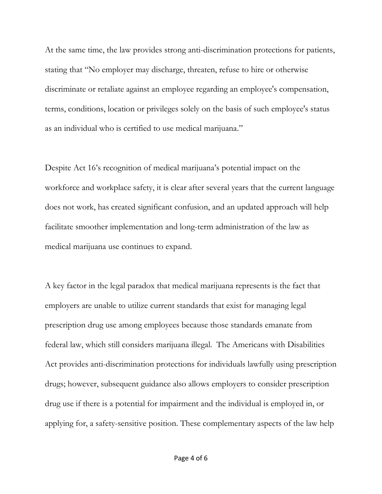At the same time, the law provides strong anti-discrimination protections for patients, stating that "No employer may discharge, threaten, refuse to hire or otherwise discriminate or retaliate against an employee regarding an employee's compensation, terms, conditions, location or privileges solely on the basis of such employee's status as an individual who is certified to use medical marijuana."

Despite Act 16's recognition of medical marijuana's potential impact on the workforce and workplace safety, it is clear after several years that the current language does not work, has created significant confusion, and an updated approach will help facilitate smoother implementation and long-term administration of the law as medical marijuana use continues to expand.

A key factor in the legal paradox that medical marijuana represents is the fact that employers are unable to utilize current standards that exist for managing legal prescription drug use among employees because those standards emanate from federal law, which still considers marijuana illegal. The Americans with Disabilities Act provides anti-discrimination protections for individuals lawfully using prescription drugs; however, subsequent guidance also allows employers to consider prescription drug use if there is a potential for impairment and the individual is employed in, or applying for, a safety-sensitive position. These complementary aspects of the law help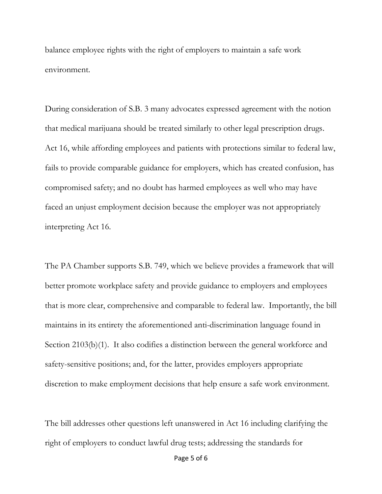balance employee rights with the right of employers to maintain a safe work environment.

During consideration of S.B. 3 many advocates expressed agreement with the notion that medical marijuana should be treated similarly to other legal prescription drugs. Act 16, while affording employees and patients with protections similar to federal law, fails to provide comparable guidance for employers, which has created confusion, has compromised safety; and no doubt has harmed employees as well who may have faced an unjust employment decision because the employer was not appropriately interpreting Act 16.

The PA Chamber supports S.B. 749, which we believe provides a framework that will better promote workplace safety and provide guidance to employers and employees that is more clear, comprehensive and comparable to federal law. Importantly, the bill maintains in its entirety the aforementioned anti-discrimination language found in Section 2103(b)(1). It also codifies a distinction between the general workforce and safety-sensitive positions; and, for the latter, provides employers appropriate discretion to make employment decisions that help ensure a safe work environment.

The bill addresses other questions left unanswered in Act 16 including clarifying the right of employers to conduct lawful drug tests; addressing the standards for